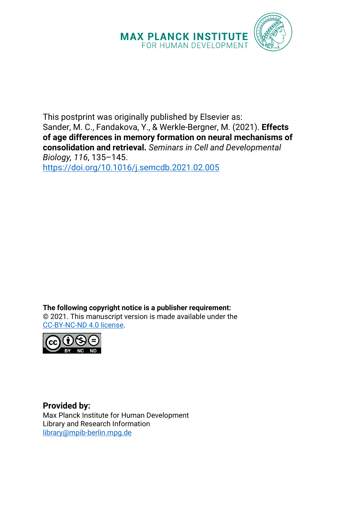

This postprint was originally published by Elsevier as: Sander, M. C., Fandakova, Y., & Werkle-Bergner, M. (2021). **Effects of age differences in memory formation on neural mechanisms of consolidation and retrieval.** *Seminars in Cell and Developmental Biology, 116*, 135–145. <https://doi.org/10.1016/j.semcdb.2021.02.005>

**The following copyright notice is a publisher requirement:** © 2021. This manuscript version is made available under the [CC-BY-NC-ND 4.0 license.](https://creativecommons.org/licenses/by-nc-nd/4.0/)



**Provided by:** Max Planck Institute for Human Development Library and Research Information [library@mpib-berlin.mpg.de](mailto:library@mpib-berlin.mpg.de)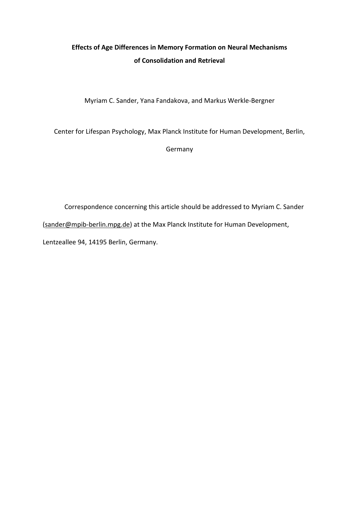# **Effects of Age Differences in Memory Formation on Neural Mechanisms of Consolidation and Retrieval**

Myriam C. Sander, Yana Fandakova, and Markus Werkle-Bergner

Center for Lifespan Psychology, Max Planck Institute for Human Development, Berlin,

Germany

Correspondence concerning this article should be addressed to Myriam C. Sander [\(sander@mpib-berlin.mpg.de\)](mailto:sander@mpib-berlin.mpg.de) at the Max Planck Institute for Human Development, Lentzeallee 94, 14195 Berlin, Germany.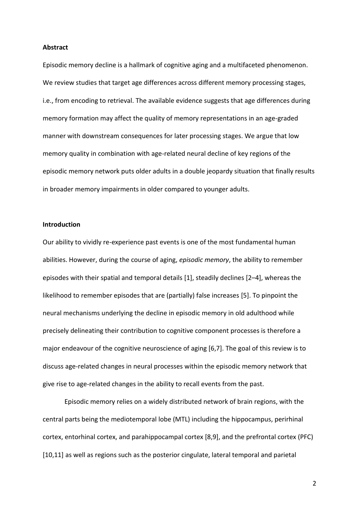#### **Abstract**

Episodic memory decline is a hallmark of cognitive aging and a multifaceted phenomenon. We review studies that target age differences across different memory processing stages, i.e., from encoding to retrieval. The available evidence suggests that age differences during memory formation may affect the quality of memory representations in an age-graded manner with downstream consequences for later processing stages. We argue that low memory quality in combination with age-related neural decline of key regions of the episodic memory network puts older adults in a double jeopardy situation that finally results in broader memory impairments in older compared to younger adults.

### **Introduction**

Our ability to vividly re-experience past events is one of the most fundamental human abilities. However, during the course of aging, *episodic memory*, the ability to remember episodes with their spatial and temporal details [1], steadily declines [2–4], whereas the likelihood to remember episodes that are (partially) false increases [5]. To pinpoint the neural mechanisms underlying the decline in episodic memory in old adulthood while precisely delineating their contribution to cognitive component processes is therefore a major endeavour of the cognitive neuroscience of aging [6,7]. The goal of this review is to discuss age-related changes in neural processes within the episodic memory network that give rise to age-related changes in the ability to recall events from the past.

Episodic memory relies on a widely distributed network of brain regions, with the central parts being the mediotemporal lobe (MTL) including the hippocampus, perirhinal cortex, entorhinal cortex, and parahippocampal cortex [8,9], and the prefrontal cortex (PFC) [10,11] as well as regions such as the posterior cingulate, lateral temporal and parietal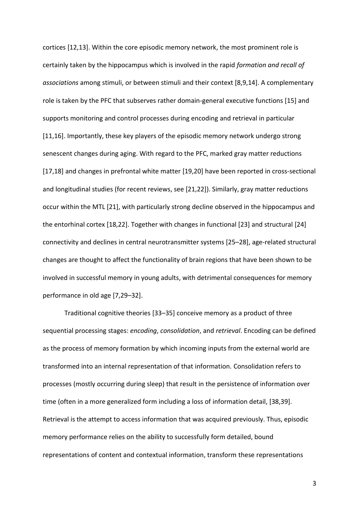cortices [12,13]. Within the core episodic memory network, the most prominent role is certainly taken by the hippocampus which is involved in the rapid *formation and recall of associations* among stimuli, or between stimuli and their context [8,9,14]. A complementary role is taken by the PFC that subserves rather domain-general executive functions [15] and supports monitoring and control processes during encoding and retrieval in particular [11,16]. Importantly, these key players of the episodic memory network undergo strong senescent changes during aging. With regard to the PFC, marked gray matter reductions [17,18] and changes in prefrontal white matter [19,20] have been reported in cross-sectional and longitudinal studies (for recent reviews, see [21,22]). Similarly, gray matter reductions occur within the MTL [21], with particularly strong decline observed in the hippocampus and the entorhinal cortex [18,22]. Together with changes in functional [23] and structural [24] connectivity and declines in central neurotransmitter systems [25–28], age-related structural changes are thought to affect the functionality of brain regions that have been shown to be involved in successful memory in young adults, with detrimental consequences for memory performance in old age [7,29–32].

Traditional cognitive theories [33–35] conceive memory as a product of three sequential processing stages: *encoding*, *consolidation*, and *retrieval*. Encoding can be defined as the process of memory formation by which incoming inputs from the external world are transformed into an internal representation of that information. Consolidation refers to processes (mostly occurring during sleep) that result in the persistence of information over time (often in a more generalized form including a loss of information detail, [38,39]. Retrieval is the attempt to access information that was acquired previously. Thus, episodic memory performance relies on the ability to successfully form detailed, bound representations of content and contextual information, transform these representations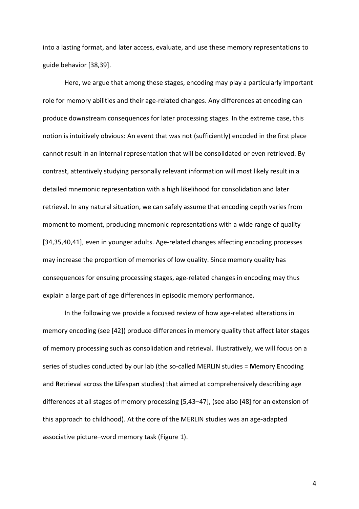into a lasting format, and later access, evaluate, and use these memory representations to guide behavior [38,39].

Here, we argue that among these stages, encoding may play a particularly important role for memory abilities and their age-related changes. Any differences at encoding can produce downstream consequences for later processing stages. In the extreme case, this notion is intuitively obvious: An event that was not (sufficiently) encoded in the first place cannot result in an internal representation that will be consolidated or even retrieved. By contrast, attentively studying personally relevant information will most likely result in a detailed mnemonic representation with a high likelihood for consolidation and later retrieval. In any natural situation, we can safely assume that encoding depth varies from moment to moment, producing mnemonic representations with a wide range of quality [34,35,40,41], even in younger adults. Age-related changes affecting encoding processes may increase the proportion of memories of low quality. Since memory quality has consequences for ensuing processing stages, age-related changes in encoding may thus explain a large part of age differences in episodic memory performance.

In the following we provide a focused review of how age-related alterations in memory encoding (see [42]) produce differences in memory quality that affect later stages of memory processing such as consolidation and retrieval. Illustratively, we will focus on a series of studies conducted by our lab (the so-called MERLIN studies = **M**emory **E**ncoding and **R**etrieval across the **Li**fespa**n** studies) that aimed at comprehensively describing age differences at all stages of memory processing [5,43–47], (see also [48] for an extension of this approach to childhood). At the core of the MERLIN studies was an age-adapted associative picture–word memory task (Figure 1).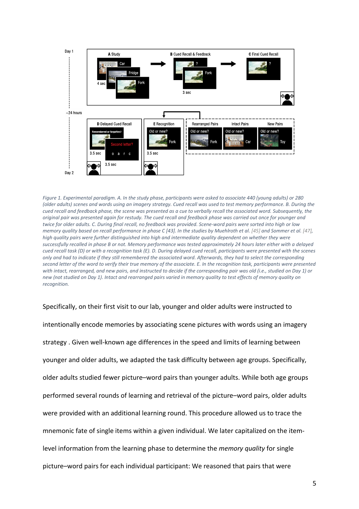

*Figure 1. Experimental paradigm. A. In the study phase, participants were asked to associate 440 (young adults) or 280 (older adults) scenes and words using an imagery strategy. Cued recall was used to test memory performance. B. During the cued recall and feedback phase, the scene was presented as a cue to verbally recall the associated word. Subsequently, the original pair was presented again for restudy. The cued recall and feedback phase was carried out once for younger and twice for older adults. C. During final recall, no feedback was provided. Scene-word pairs were sorted into high or low memory quality based on recall performance in phase C [43]. In the studies by Muehlroth et al. [45] and Sommer et al. [47], high quality pairs were further distinguished into high and intermediate quality dependent on whether they were successfully recalled in phase B or not. Memory performance was tested approximately 24 hours later either with a delayed cued recall task (D) or with a recognition task (E). D. During delayed cued recall, participants were presented with the scenes only and had to indicate if they still remembered the associated word. Afterwards, they had to select the corresponding second letter of the word to verify their true memory of the associate. E. In the recognition task, participants were presented with intact, rearranged, and new pairs, and instructed to decide if the corresponding pair was old (i.e., studied on Day 1) or new (not studied on Day 1). Intact and rearranged pairs varied in memory quality to test effects of memory quality on recognition.*

Specifically, on their first visit to our lab, younger and older adults were instructed to intentionally encode memories by associating scene pictures with words using an imagery strategy . Given well-known age differences in the speed and limits of learning between younger and older adults, we adapted the task difficulty between age groups. Specifically, older adults studied fewer picture–word pairs than younger adults. While both age groups performed several rounds of learning and retrieval of the picture–word pairs, older adults were provided with an additional learning round. This procedure allowed us to trace the mnemonic fate of single items within a given individual. We later capitalized on the itemlevel information from the learning phase to determine the *memory quality* for single picture–word pairs for each individual participant: We reasoned that pairs that were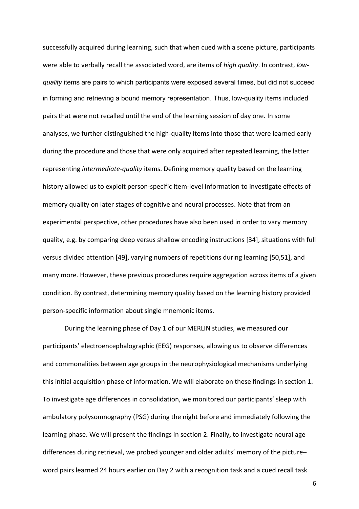successfully acquired during learning, such that when cued with a scene picture, participants were able to verbally recall the associated word, are items of *high quality*. In contrast, *lowquality* items are pairs to which participants were exposed several times, but did not succeed in forming and retrieving a bound memory representation. Thus, low-quality items included pairs that were not recalled until the end of the learning session of day one. In some analyses, we further distinguished the high-quality items into those that were learned early during the procedure and those that were only acquired after repeated learning, the latter representing *intermediate-quality* items. Defining memory quality based on the learning history allowed us to exploit person-specific item-level information to investigate effects of memory quality on later stages of cognitive and neural processes. Note that from an experimental perspective, other procedures have also been used in order to vary memory quality, e.g. by comparing deep versus shallow encoding instructions [34], situations with full versus divided attention [49], varying numbers of repetitions during learning [50,51], and many more. However, these previous procedures require aggregation across items of a given condition. By contrast, determining memory quality based on the learning history provided person-specific information about single mnemonic items.

During the learning phase of Day 1 of our MERLIN studies, we measured our participants' electroencephalographic (EEG) responses, allowing us to observe differences and commonalities between age groups in the neurophysiological mechanisms underlying this initial acquisition phase of information. We will elaborate on these findings in section 1. To investigate age differences in consolidation, we monitored our participants' sleep with ambulatory polysomnography (PSG) during the night before and immediately following the learning phase. We will present the findings in section 2. Finally, to investigate neural age differences during retrieval, we probed younger and older adults' memory of the picture– word pairs learned 24 hours earlier on Day 2 with a recognition task and a cued recall task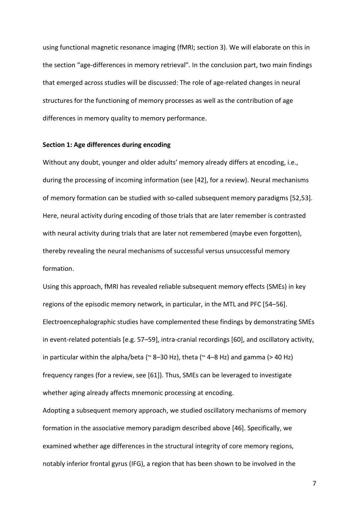using functional magnetic resonance imaging (fMRI; section 3). We will elaborate on this in the section "age-differences in memory retrieval". In the conclusion part, two main findings that emerged across studies will be discussed: The role of age-related changes in neural structures for the functioning of memory processes as well as the contribution of age differences in memory quality to memory performance.

### **Section 1: Age differences during encoding**

Without any doubt, younger and older adults' memory already differs at encoding, i.e., during the processing of incoming information (see [42], for a review). Neural mechanisms of memory formation can be studied with so-called subsequent memory paradigms [52,53]. Here, neural activity during encoding of those trials that are later remember is contrasted with neural activity during trials that are later not remembered (maybe even forgotten), thereby revealing the neural mechanisms of successful versus unsuccessful memory formation.

Using this approach, fMRI has revealed reliable subsequent memory effects (SMEs) in key regions of the episodic memory network, in particular, in the MTL and PFC [54–56]. Electroencephalographic studies have complemented these findings by demonstrating SMEs in event-related potentials [e.g. 57–59], intra-cranial recordings [60], and oscillatory activity, in particular within the alpha/beta ( $\approx$  8–30 Hz), theta ( $\approx$  4–8 Hz) and gamma (> 40 Hz) frequency ranges (for a review, see [61]). Thus, SMEs can be leveraged to investigate whether aging already affects mnemonic processing at encoding.

Adopting a subsequent memory approach, we studied oscillatory mechanisms of memory formation in the associative memory paradigm described above [46]. Specifically, we examined whether age differences in the structural integrity of core memory regions, notably inferior frontal gyrus (IFG), a region that has been shown to be involved in the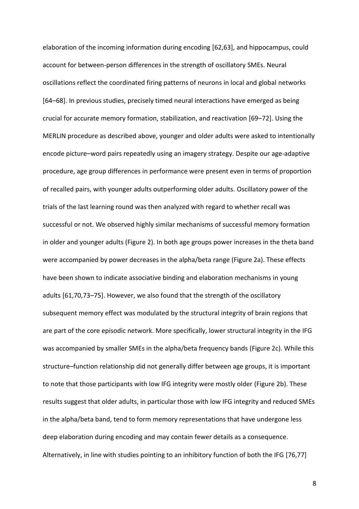elaboration of the incoming information during encoding [62,63], and hippocampus, could account for between-person differences in the strength of oscillatory SMEs. Neural oscillations reflect the coordinated firing patterns of neurons in local and global networks [64–68]. In previous studies, precisely timed neural interactions have emerged as being crucial for accurate memory formation, stabilization, and reactivation [69–72]. Using the MERLIN procedure as described above, younger and older adults were asked to intentionally encode picture–word pairs repeatedly using an imagery strategy. Despite our age-adaptive procedure, age group differences in performance were present even in terms of proportion of recalled pairs, with younger adults outperforming older adults. Oscillatory power of the trials of the last learning round was then analyzed with regard to whether recall was successful or not. We observed highly similar mechanisms of successful memory formation in older and younger adults (Figure 2). In both age groups power increases in the theta band were accompanied by power decreases in the alpha/beta range (Figure 2a). These effects have been shown to indicate associative binding and elaboration mechanisms in young adults [61,70,73–75]. However, we also found that the strength of the oscillatory subsequent memory effect was modulated by the structural integrity of brain regions that are part of the core episodic network. More specifically, lower structural integrity in the IFG was accompanied by smaller SMEs in the alpha/beta frequency bands (Figure 2c). While this structure–function relationship did not generally differ between age groups, it is important to note that those participants with low IFG integrity were mostly older (Figure 2b). These results suggest that older adults, in particular those with low IFG integrity and reduced SMEs in the alpha/beta band, tend to form memory representations that have undergone less deep elaboration during encoding and may contain fewer details as a consequence. Alternatively, in line with studies pointing to an inhibitory function of both the IFG [76,77]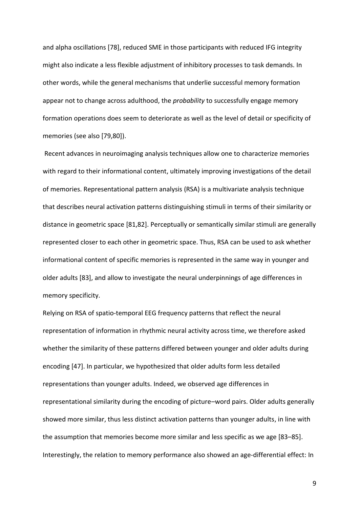and alpha oscillations [78], reduced SME in those participants with reduced IFG integrity might also indicate a less flexible adjustment of inhibitory processes to task demands. In other words, while the general mechanisms that underlie successful memory formation appear not to change across adulthood, the *probability* to successfully engage memory formation operations does seem to deteriorate as well as the level of detail or specificity of memories (see also [79,80]).

Recent advances in neuroimaging analysis techniques allow one to characterize memories with regard to their informational content, ultimately improving investigations of the detail of memories. Representational pattern analysis (RSA) is a multivariate analysis technique that describes neural activation patterns distinguishing stimuli in terms of their similarity or distance in geometric space [81,82]. Perceptually or semantically similar stimuli are generally represented closer to each other in geometric space. Thus, RSA can be used to ask whether informational content of specific memories is represented in the same way in younger and older adults [83], and allow to investigate the neural underpinnings of age differences in memory specificity.

Relying on RSA of spatio-temporal EEG frequency patterns that reflect the neural representation of information in rhythmic neural activity across time, we therefore asked whether the similarity of these patterns differed between younger and older adults during encoding [47]. In particular, we hypothesized that older adults form less detailed representations than younger adults. Indeed, we observed age differences in representational similarity during the encoding of picture–word pairs. Older adults generally showed more similar, thus less distinct activation patterns than younger adults, in line with the assumption that memories become more similar and less specific as we age [83–85]. Interestingly, the relation to memory performance also showed an age-differential effect: In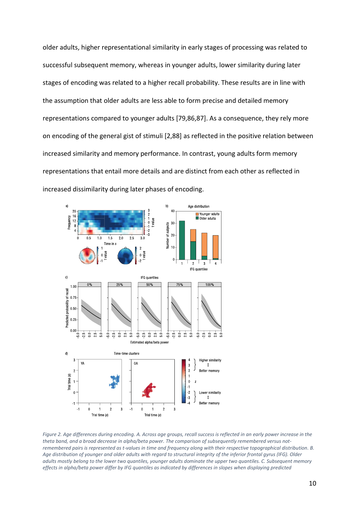older adults, higher representational similarity in early stages of processing was related to successful subsequent memory, whereas in younger adults, lower similarity during later stages of encoding was related to a higher recall probability. These results are in line with the assumption that older adults are less able to form precise and detailed memory representations compared to younger adults [79,86,87]. As a consequence, they rely more on encoding of the general gist of stimuli [2,88] as reflected in the positive relation between increased similarity and memory performance. In contrast, young adults form memory representations that entail more details and are distinct from each other as reflected in increased dissimilarity during later phases of encoding.



*Figure 2. Age differences during encoding. A. Across age groups, recall success is reflected in an early power increase in the theta band, and a broad decrease in alpha/beta power. The comparison of subsequently remembered versus notremembered pairs is represented as t-values in time and frequency along with their respective topographical distribution. B. Age distribution of younger and older adults with regard to structural integrity of the inferior frontal gyrus (IFG). Older adults mostly belong to the lower two quantiles, younger adults dominate the upper two quantiles. C. Subsequent memory effects in alpha/beta power differ by IFG quantiles as indicated by differences in slopes when displaying predicted*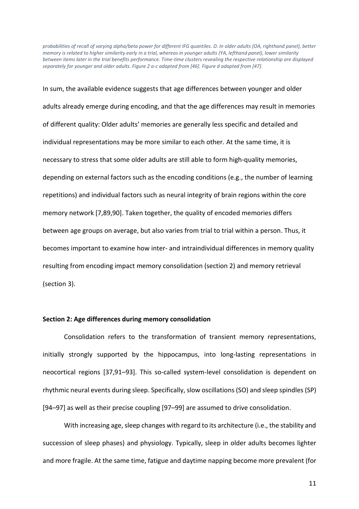*probabilities of recall of varying alpha/beta power for different IFG quantiles. D. In older adults (OA, righthand panel), better memory is related to higher similarity early in a trial, whereas in younger adults (YA, lefthand panel), lower similarity between items later in the trial benefits performance. Time-time clusters revealing the respective relationship are displayed separately for younger and older adults. Figure 2 a-c adapted from [46]. Figure d adapted from [47].* 

In sum, the available evidence suggests that age differences between younger and older adults already emerge during encoding, and that the age differences may result in memories of different quality: Older adults' memories are generally less specific and detailed and individual representations may be more similar to each other. At the same time, it is necessary to stress that some older adults are still able to form high-quality memories, depending on external factors such as the encoding conditions (e.g., the number of learning repetitions) and individual factors such as neural integrity of brain regions within the core memory network [7,89,90]. Taken together, the quality of encoded memories differs between age groups on average, but also varies from trial to trial within a person. Thus, it becomes important to examine how inter- and intraindividual differences in memory quality resulting from encoding impact memory consolidation (section 2) and memory retrieval (section 3).

#### **Section 2: Age differences during memory consolidation**

Consolidation refers to the transformation of transient memory representations, initially strongly supported by the hippocampus, into long-lasting representations in neocortical regions [37,91–93]. This so-called system-level consolidation is dependent on rhythmic neural events during sleep. Specifically, slow oscillations (SO) and sleep spindles (SP) [94–97] as well as their precise coupling [97–99] are assumed to drive consolidation.

With increasing age, sleep changes with regard to its architecture (i.e., the stability and succession of sleep phases) and physiology. Typically, sleep in older adults becomes lighter and more fragile. At the same time, fatigue and daytime napping become more prevalent (for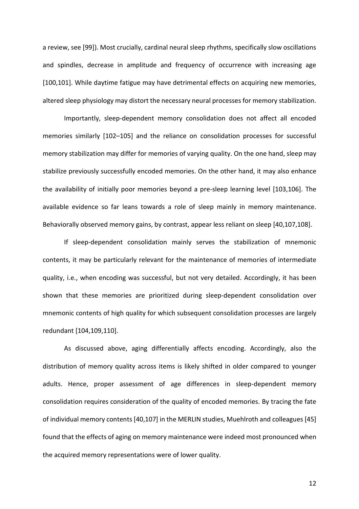a review, see [99]). Most crucially, cardinal neural sleep rhythms, specifically slow oscillations and spindles, decrease in amplitude and frequency of occurrence with increasing age [100,101]. While daytime fatigue may have detrimental effects on acquiring new memories, altered sleep physiology may distort the necessary neural processes for memory stabilization.

Importantly, sleep-dependent memory consolidation does not affect all encoded memories similarly [102–105] and the reliance on consolidation processes for successful memory stabilization may differ for memories of varying quality. On the one hand, sleep may stabilize previously successfully encoded memories. On the other hand, it may also enhance the availability of initially poor memories beyond a pre-sleep learning level [103,106]. The available evidence so far leans towards a role of sleep mainly in memory maintenance. Behaviorally observed memory gains, by contrast, appear less reliant on sleep [40,107,108].

If sleep-dependent consolidation mainly serves the stabilization of mnemonic contents, it may be particularly relevant for the maintenance of memories of intermediate quality, i.e., when encoding was successful, but not very detailed. Accordingly, it has been shown that these memories are prioritized during sleep-dependent consolidation over mnemonic contents of high quality for which subsequent consolidation processes are largely redundant [104,109,110].

As discussed above, aging differentially affects encoding. Accordingly, also the distribution of memory quality across items is likely shifted in older compared to younger adults. Hence, proper assessment of age differences in sleep-dependent memory consolidation requires consideration of the quality of encoded memories. By tracing the fate of individual memory contents [40,107] in the MERLIN studies, Muehlroth and colleagues [45] found that the effects of aging on memory maintenance were indeed most pronounced when the acquired memory representations were of lower quality.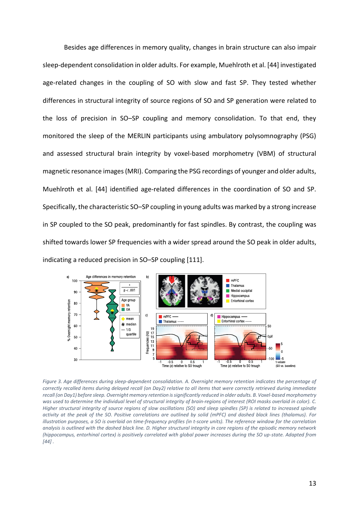Besides age differences in memory quality, changes in brain structure can also impair sleep-dependent consolidation in older adults. For example, Muehlroth et al. [44] investigated age-related changes in the coupling of SO with slow and fast SP. They tested whether differences in structural integrity of source regions of SO and SP generation were related to the loss of precision in SO–SP coupling and memory consolidation. To that end, they monitored the sleep of the MERLIN participants using ambulatory polysomnography (PSG) and assessed structural brain integrity by voxel-based morphometry (VBM) of structural magnetic resonance images (MRI). Comparing the PSG recordings of younger and older adults, Muehlroth et al. [44] identified age-related differences in the coordination of SO and SP. Specifically, the characteristic SO–SP coupling in young adults was marked by a strong increase in SP coupled to the SO peak, predominantly for fast spindles. By contrast, the coupling was shifted towards lower SP frequencies with a wider spread around the SO peak in older adults, indicating a reduced precision in SO–SP coupling [111].



Figure 3. Age differences during sleep-dependent consolidation. A. Overnight memory retention indicates the percentage of *correctly recalled items during delayed recall (on Day2) relative to all items that were correctly retrieved during immediate recall (on Day1) before sleep. Overnight memory retention is significantly reduced in older adults. B. Voxel-based morphometry was used to determine the individual level of structural integrity of brain-regions of interest (ROI masks overlaid in color). C. Higher structural integrity of source regions of slow oscillations (SO) and sleep spindles (SP) is related to increased spindle activity at the peak of the SO. Positive correlations are outlined by solid (mPFC) and dashed black lines (thalamus). For illustration purposes, a SO is overlaid on time-frequency profiles (in t-score units). The reference window for the correlation analysis is outlined with the dashed black line. D. Higher structural integrity in core regions of the episodic memory network (hippocampus, entorhinal cortex) is positively correlated with global power increases during the SO up-state. Adapted from [44] .*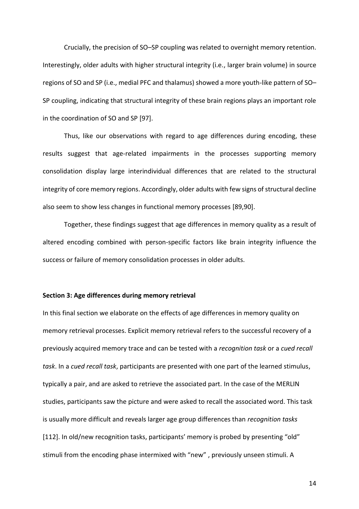Crucially, the precision of SO–SP coupling was related to overnight memory retention. Interestingly, older adults with higher structural integrity (i.e., larger brain volume) in source regions of SO and SP (i.e., medial PFC and thalamus) showed a more youth-like pattern of SO– SP coupling, indicating that structural integrity of these brain regions plays an important role in the coordination of SO and SP [97].

Thus, like our observations with regard to age differences during encoding, these results suggest that age-related impairments in the processes supporting memory consolidation display large interindividual differences that are related to the structural integrity of core memory regions. Accordingly, older adults with few signs of structural decline also seem to show less changes in functional memory processes [89,90].

Together, these findings suggest that age differences in memory quality as a result of altered encoding combined with person-specific factors like brain integrity influence the success or failure of memory consolidation processes in older adults.

### **Section 3: Age differences during memory retrieval**

In this final section we elaborate on the effects of age differences in memory quality on memory retrieval processes. Explicit memory retrieval refers to the successful recovery of a previously acquired memory trace and can be tested with a *recognition task* or a *cued recall task*. In a *cued recall task*, participants are presented with one part of the learned stimulus, typically a pair, and are asked to retrieve the associated part. In the case of the MERLIN studies, participants saw the picture and were asked to recall the associated word. This task is usually more difficult and reveals larger age group differences than *recognition tasks* [112]. In old/new recognition tasks, participants' memory is probed by presenting "old" stimuli from the encoding phase intermixed with "new" , previously unseen stimuli. A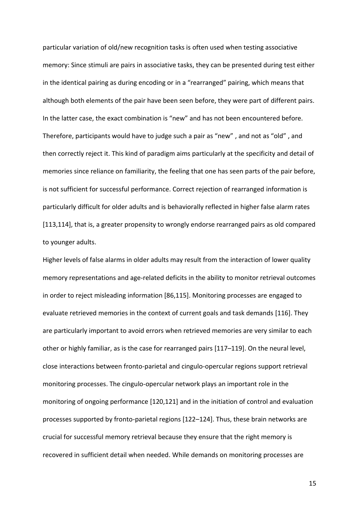particular variation of old/new recognition tasks is often used when testing associative memory: Since stimuli are pairs in associative tasks, they can be presented during test either in the identical pairing as during encoding or in a "rearranged" pairing, which means that although both elements of the pair have been seen before, they were part of different pairs. In the latter case, the exact combination is "new" and has not been encountered before. Therefore, participants would have to judge such a pair as "new" , and not as "old" , and then correctly reject it. This kind of paradigm aims particularly at the specificity and detail of memories since reliance on familiarity, the feeling that one has seen parts of the pair before, is not sufficient for successful performance. Correct rejection of rearranged information is particularly difficult for older adults and is behaviorally reflected in higher false alarm rates [113,114], that is, a greater propensity to wrongly endorse rearranged pairs as old compared to younger adults.

Higher levels of false alarms in older adults may result from the interaction of lower quality memory representations and age-related deficits in the ability to monitor retrieval outcomes in order to reject misleading information [86,115]. Monitoring processes are engaged to evaluate retrieved memories in the context of current goals and task demands [116]. They are particularly important to avoid errors when retrieved memories are very similar to each other or highly familiar, as is the case for rearranged pairs [117–119]. On the neural level, close interactions between fronto-parietal and cingulo-opercular regions support retrieval monitoring processes. The cingulo-opercular network plays an important role in the monitoring of ongoing performance [120,121] and in the initiation of control and evaluation processes supported by fronto-parietal regions [122–124]. Thus, these brain networks are crucial for successful memory retrieval because they ensure that the right memory is recovered in sufficient detail when needed. While demands on monitoring processes are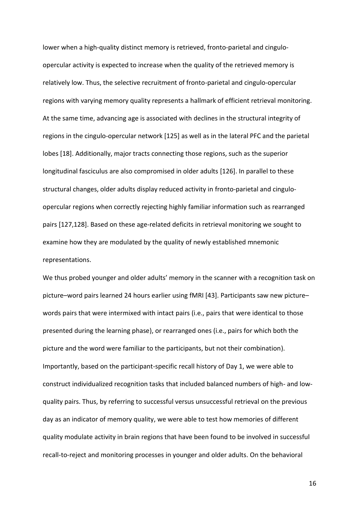lower when a high-quality distinct memory is retrieved, fronto-parietal and cinguloopercular activity is expected to increase when the quality of the retrieved memory is relatively low. Thus, the selective recruitment of fronto-parietal and cingulo-opercular regions with varying memory quality represents a hallmark of efficient retrieval monitoring. At the same time, advancing age is associated with declines in the structural integrity of regions in the cingulo-opercular network [125] as well as in the lateral PFC and the parietal lobes [18]. Additionally, major tracts connecting those regions, such as the superior longitudinal fasciculus are also compromised in older adults [126]. In parallel to these structural changes, older adults display reduced activity in fronto-parietal and cinguloopercular regions when correctly rejecting highly familiar information such as rearranged pairs [127,128]. Based on these age-related deficits in retrieval monitoring we sought to examine how they are modulated by the quality of newly established mnemonic representations.

We thus probed younger and older adults' memory in the scanner with a recognition task on picture–word pairs learned 24 hours earlier using fMRI [43]. Participants saw new picture– words pairs that were intermixed with intact pairs (i.e., pairs that were identical to those presented during the learning phase), or rearranged ones (i.e., pairs for which both the picture and the word were familiar to the participants, but not their combination). Importantly, based on the participant-specific recall history of Day 1, we were able to construct individualized recognition tasks that included balanced numbers of high- and lowquality pairs. Thus, by referring to successful versus unsuccessful retrieval on the previous day as an indicator of memory quality, we were able to test how memories of different quality modulate activity in brain regions that have been found to be involved in successful recall-to-reject and monitoring processes in younger and older adults. On the behavioral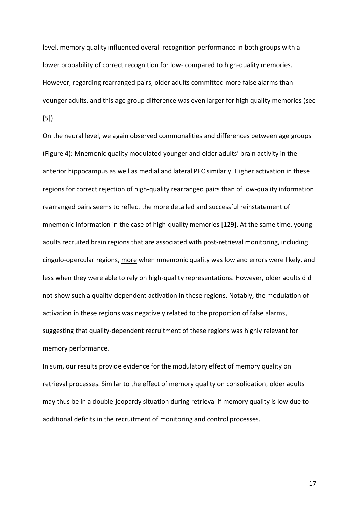level, memory quality influenced overall recognition performance in both groups with a lower probability of correct recognition for low- compared to high-quality memories. However, regarding rearranged pairs, older adults committed more false alarms than younger adults, and this age group difference was even larger for high quality memories (see [5]).

On the neural level, we again observed commonalities and differences between age groups (Figure 4): Mnemonic quality modulated younger and older adults' brain activity in the anterior hippocampus as well as medial and lateral PFC similarly. Higher activation in these regions for correct rejection of high-quality rearranged pairs than of low-quality information rearranged pairs seems to reflect the more detailed and successful reinstatement of mnemonic information in the case of high-quality memories [129]. At the same time, young adults recruited brain regions that are associated with post-retrieval monitoring, including cingulo-opercular regions, more when mnemonic quality was low and errors were likely, and less when they were able to rely on high-quality representations. However, older adults did not show such a quality-dependent activation in these regions. Notably, the modulation of activation in these regions was negatively related to the proportion of false alarms, suggesting that quality-dependent recruitment of these regions was highly relevant for memory performance.

In sum, our results provide evidence for the modulatory effect of memory quality on retrieval processes. Similar to the effect of memory quality on consolidation, older adults may thus be in a double-jeopardy situation during retrieval if memory quality is low due to additional deficits in the recruitment of monitoring and control processes.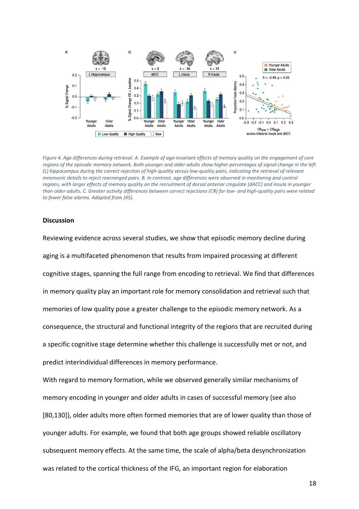

*Figure 4. Age differences during retrieval. A. Example of age-invariant effects of memory quality on the engagement of core regions of the episodic memory network. Both younger and older adults show higher percentages of signal change in the left (L) hippocampus during the correct rejection of high-quality versus low-quality pairs, indicating the retrieval of relevant mnemonic details to reject rearranged pairs. B. In contrast, age differences were observed in monitoring and control regions, with larger effects of memory quality on the recruitment of dorsal anterior cingulate (dACC) and insula in younger than older adults. C. Greater activity differences between correct rejections (CR) for low- and high-quality pairs were related to fewer false alarms. Adapted from [45].*

#### **Discussion**

Reviewing evidence across several studies, we show that episodic memory decline during aging is a multifaceted phenomenon that results from impaired processing at different cognitive stages, spanning the full range from encoding to retrieval. We find that differences in memory quality play an important role for memory consolidation and retrieval such that memories of low quality pose a greater challenge to the episodic memory network. As a consequence, the structural and functional integrity of the regions that are recruited during a specific cognitive stage determine whether this challenge is successfully met or not, and predict interindividual differences in memory performance.

With regard to memory formation, while we observed generally similar mechanisms of memory encoding in younger and older adults in cases of successful memory (see also [80,130]), older adults more often formed memories that are of lower quality than those of younger adults. For example, we found that both age groups showed reliable oscillatory subsequent memory effects. At the same time, the scale of alpha/beta desynchronization was related to the cortical thickness of the IFG, an important region for elaboration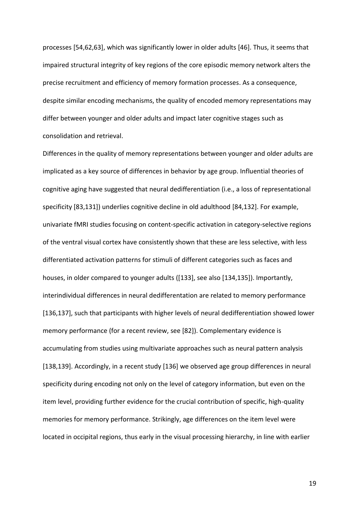processes [54,62,63], which was significantly lower in older adults [46]. Thus, it seems that impaired structural integrity of key regions of the core episodic memory network alters the precise recruitment and efficiency of memory formation processes. As a consequence, despite similar encoding mechanisms, the quality of encoded memory representations may differ between younger and older adults and impact later cognitive stages such as consolidation and retrieval.

Differences in the quality of memory representations between younger and older adults are implicated as a key source of differences in behavior by age group. Influential theories of cognitive aging have suggested that neural dedifferentiation (i.e., a loss of representational specificity [83,131]) underlies cognitive decline in old adulthood [84,132]. For example, univariate fMRI studies focusing on content-specific activation in category-selective regions of the ventral visual cortex have consistently shown that these are less selective, with less differentiated activation patterns for stimuli of different categories such as faces and houses, in older compared to younger adults ([133], see also [134,135]). Importantly, interindividual differences in neural dedifferentation are related to memory performance [136,137], such that participants with higher levels of neural dedifferentiation showed lower memory performance (for a recent review, see [82]). Complementary evidence is accumulating from studies using multivariate approaches such as neural pattern analysis [138,139]. Accordingly, in a recent study [136] we observed age group differences in neural specificity during encoding not only on the level of category information, but even on the item level, providing further evidence for the crucial contribution of specific, high-quality memories for memory performance. Strikingly, age differences on the item level were located in occipital regions, thus early in the visual processing hierarchy, in line with earlier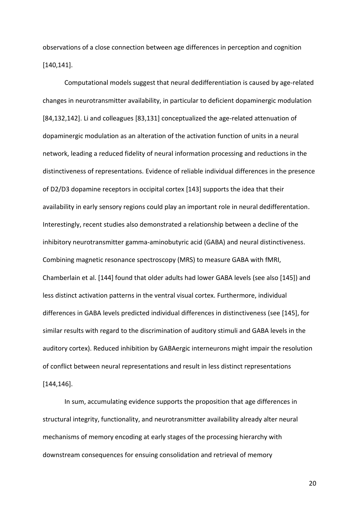observations of a close connection between age differences in perception and cognition [140,141].

Computational models suggest that neural dedifferentiation is caused by age-related changes in neurotransmitter availability, in particular to deficient dopaminergic modulation [84,132,142]. Li and colleagues [83,131] conceptualized the age-related attenuation of dopaminergic modulation as an alteration of the activation function of units in a neural network, leading a reduced fidelity of neural information processing and reductions in the distinctiveness of representations. Evidence of reliable individual differences in the presence of D2/D3 dopamine receptors in occipital cortex [143] supports the idea that their availability in early sensory regions could play an important role in neural dedifferentation. Interestingly, recent studies also demonstrated a relationship between a decline of the inhibitory neurotransmitter gamma-aminobutyric acid (GABA) and neural distinctiveness. Combining magnetic resonance spectroscopy (MRS) to measure GABA with fMRI, Chamberlain et al. [144] found that older adults had lower GABA levels (see also [145]) and less distinct activation patterns in the ventral visual cortex. Furthermore, individual differences in GABA levels predicted individual differences in distinctiveness (see [145], for similar results with regard to the discrimination of auditory stimuli and GABA levels in the auditory cortex). Reduced inhibition by GABAergic interneurons might impair the resolution of conflict between neural representations and result in less distinct representations [144,146].

In sum, accumulating evidence supports the proposition that age differences in structural integrity, functionality, and neurotransmitter availability already alter neural mechanisms of memory encoding at early stages of the processing hierarchy with downstream consequences for ensuing consolidation and retrieval of memory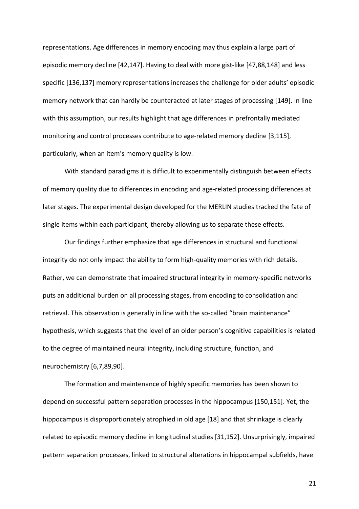representations. Age differences in memory encoding may thus explain a large part of episodic memory decline [42,147]. Having to deal with more gist-like [47,88,148] and less specific [136,137] memory representations increases the challenge for older adults' episodic memory network that can hardly be counteracted at later stages of processing [149]. In line with this assumption, our results highlight that age differences in prefrontally mediated monitoring and control processes contribute to age-related memory decline [3,115], particularly, when an item's memory quality is low.

With standard paradigms it is difficult to experimentally distinguish between effects of memory quality due to differences in encoding and age-related processing differences at later stages. The experimental design developed for the MERLIN studies tracked the fate of single items within each participant, thereby allowing us to separate these effects.

Our findings further emphasize that age differences in structural and functional integrity do not only impact the ability to form high-quality memories with rich details. Rather, we can demonstrate that impaired structural integrity in memory-specific networks puts an additional burden on all processing stages, from encoding to consolidation and retrieval. This observation is generally in line with the so-called "brain maintenance" hypothesis, which suggests that the level of an older person's cognitive capabilities is related to the degree of maintained neural integrity, including structure, function, and neurochemistry [6,7,89,90].

The formation and maintenance of highly specific memories has been shown to depend on successful pattern separation processes in the hippocampus [150,151]. Yet, the hippocampus is disproportionately atrophied in old age [18] and that shrinkage is clearly related to episodic memory decline in longitudinal studies [31,152]. Unsurprisingly, impaired pattern separation processes, linked to structural alterations in hippocampal subfields, have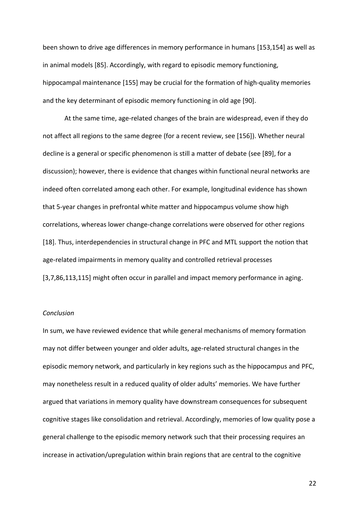been shown to drive age differences in memory performance in humans [153,154] as well as in animal models [85]. Accordingly, with regard to episodic memory functioning, hippocampal maintenance [155] may be crucial for the formation of high-quality memories and the key determinant of episodic memory functioning in old age [90].

At the same time, age-related changes of the brain are widespread, even if they do not affect all regions to the same degree (for a recent review, see [156]). Whether neural decline is a general or specific phenomenon is still a matter of debate (see [89], for a discussion); however, there is evidence that changes within functional neural networks are indeed often correlated among each other. For example, longitudinal evidence has shown that 5-year changes in prefrontal white matter and hippocampus volume show high correlations, whereas lower change-change correlations were observed for other regions [18]. Thus, interdependencies in structural change in PFC and MTL support the notion that age-related impairments in memory quality and controlled retrieval processes [3,7,86,113,115] might often occur in parallel and impact memory performance in aging.

### *Conclusion*

In sum, we have reviewed evidence that while general mechanisms of memory formation may not differ between younger and older adults, age-related structural changes in the episodic memory network, and particularly in key regions such as the hippocampus and PFC, may nonetheless result in a reduced quality of older adults' memories. We have further argued that variations in memory quality have downstream consequences for subsequent cognitive stages like consolidation and retrieval. Accordingly, memories of low quality pose a general challenge to the episodic memory network such that their processing requires an increase in activation/upregulation within brain regions that are central to the cognitive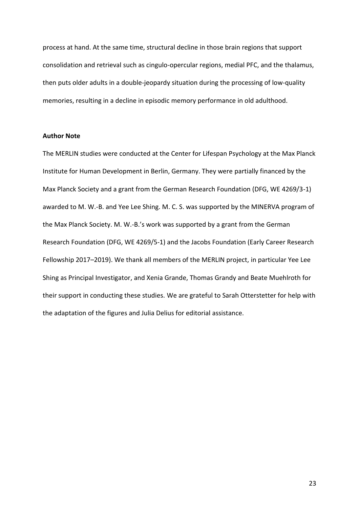process at hand. At the same time, structural decline in those brain regions that support consolidation and retrieval such as cingulo-opercular regions, medial PFC, and the thalamus, then puts older adults in a double-jeopardy situation during the processing of low-quality memories, resulting in a decline in episodic memory performance in old adulthood.

## **Author Note**

The MERLIN studies were conducted at the Center for Lifespan Psychology at the Max Planck Institute for Human Development in Berlin, Germany. They were partially financed by the Max Planck Society and a grant from the German Research Foundation (DFG, WE 4269/3-1) awarded to M. W.-B. and Yee Lee Shing. M. C. S. was supported by the MINERVA program of the Max Planck Society. M. W.-B.'s work was supported by a grant from the German Research Foundation (DFG, WE 4269/5-1) and the Jacobs Foundation (Early Career Research Fellowship 2017–2019). We thank all members of the MERLIN project, in particular Yee Lee Shing as Principal Investigator, and Xenia Grande, Thomas Grandy and Beate Muehlroth for their support in conducting these studies. We are grateful to Sarah Otterstetter for help with the adaptation of the figures and Julia Delius for editorial assistance.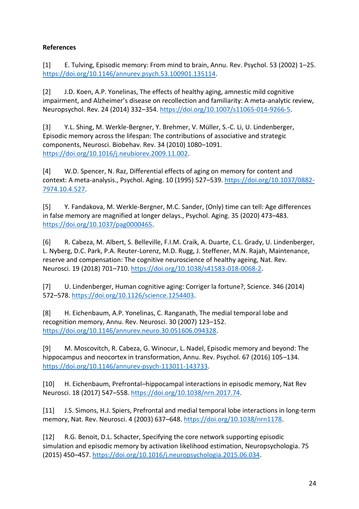# **References**

[1] E. Tulving, Episodic memory: From mind to brain, Annu. Rev. Psychol. 53 (2002) 1–25. [https://doi.org/10.1146/annurev.psych.53.100901.135114.](https://doi.org/10.1146/annurev.psych.53.100901.135114)

[2] J.D. Koen, A.P. Yonelinas, The effects of healthy aging, amnestic mild cognitive impairment, and Alzheimer's disease on recollection and familiarity: A meta-analytic review, Neuropsychol. Rev. 24 (2014) 332–354. [https://doi.org/10.1007/s11065-014-9266-5.](https://doi.org/10.1007/s11065-014-9266-5)

[3] Y.L. Shing, M. Werkle-Bergner, Y. Brehmer, V. Müller, S.-C. Li, U. Lindenberger, Episodic memory across the lifespan: The contributions of associative and strategic components, Neurosci. Biobehav. Rev. 34 (2010) 1080–1091. [https://doi.org/10.1016/j.neubiorev.2009.11.002.](https://doi.org/10.1016/j.neubiorev.2009.11.002)

[4] W.D. Spencer, N. Raz, Differential effects of aging on memory for content and context: A meta-analysis., Psychol. Aging. 10 (1995) 527–539. [https://doi.org/10.1037/0882-](https://doi.org/10.1037/0882-7974.10.4.527) [7974.10.4.527.](https://doi.org/10.1037/0882-7974.10.4.527)

[5] Y. Fandakova, M. Werkle-Bergner, M.C. Sander, (Only) time can tell: Age differences in false memory are magnified at longer delays., Psychol. Aging. 35 (2020) 473–483. [https://doi.org/10.1037/pag0000465.](https://doi.org/10.1037/pag0000465)

[6] R. Cabeza, M. Albert, S. Belleville, F.I.M. Craik, A. Duarte, C.L. Grady, U. Lindenberger, L. Nyberg, D.C. Park, P.A. Reuter-Lorenz, M.D. Rugg, J. Steffener, M.N. Rajah, Maintenance, reserve and compensation: The cognitive neuroscience of healthy ageing, Nat. Rev. Neurosci. 19 (2018) 701–710. [https://doi.org/10.1038/s41583-018-0068-2.](https://doi.org/10.1038/s41583-018-0068-2)

[7] U. Lindenberger, Human cognitive aging: Corriger la fortune?, Science. 346 (2014) 572–578. [https://doi.org/10.1126/science.1254403.](https://doi.org/10.1126/science.1254403)

[8] H. Eichenbaum, A.P. Yonelinas, C. Ranganath, The medial temporal lobe and recognition memory, Annu. Rev. Neurosci. 30 (2007) 123–152. [https://doi.org/10.1146/annurev.neuro.30.051606.094328.](https://doi.org/10.1146/annurev.neuro.30.051606.094328)

[9] M. Moscovitch, R. Cabeza, G. Winocur, L. Nadel, Episodic memory and beyond: The hippocampus and neocortex in transformation, Annu. Rev. Psychol. 67 (2016) 105–134. [https://doi.org/10.1146/annurev-psych-113011-143733.](https://doi.org/10.1146/annurev-psych-113011-143733)

[10] H. Eichenbaum, Prefrontal–hippocampal interactions in episodic memory, Nat Rev Neurosci. 18 (2017) 547–558. [https://doi.org/10.1038/nrn.2017.74.](https://doi.org/10.1038/nrn.2017.74)

[11] J.S. Simons, H.J. Spiers, Prefrontal and medial temporal lobe interactions in long-term memory, Nat. Rev. Neurosci. 4 (2003) 637–648[. https://doi.org/10.1038/nrn1178.](https://doi.org/10.1038/nrn1178)

[12] R.G. Benoit, D.L. Schacter, Specifying the core network supporting episodic simulation and episodic memory by activation likelihood estimation, Neuropsychologia. 75 (2015) 450–457. [https://doi.org/10.1016/j.neuropsychologia.2015.06.034.](https://doi.org/10.1016/j.neuropsychologia.2015.06.034)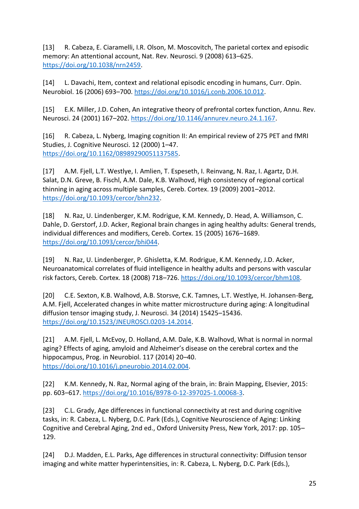[13] R. Cabeza, E. Ciaramelli, I.R. Olson, M. Moscovitch, The parietal cortex and episodic memory: An attentional account, Nat. Rev. Neurosci. 9 (2008) 613–625. [https://doi.org/10.1038/nrn2459.](https://doi.org/10.1038/nrn2459)

[14] L. Davachi, Item, context and relational episodic encoding in humans, Curr. Opin. Neurobiol. 16 (2006) 693–700[. https://doi.org/10.1016/j.conb.2006.10.012.](https://doi.org/10.1016/j.conb.2006.10.012)

[15] E.K. Miller, J.D. Cohen, An integrative theory of prefrontal cortex function, Annu. Rev. Neurosci. 24 (2001) 167–202. [https://doi.org/10.1146/annurev.neuro.24.1.167.](https://doi.org/10.1146/annurev.neuro.24.1.167)

[16] R. Cabeza, L. Nyberg, Imaging cognition II: An empirical review of 275 PET and fMRI Studies, J. Cognitive Neurosci. 12 (2000) 1–47. [https://doi.org/10.1162/08989290051137585.](https://doi.org/10.1162/08989290051137585)

[17] A.M. Fjell, L.T. Westlye, I. Amlien, T. Espeseth, I. Reinvang, N. Raz, I. Agartz, D.H. Salat, D.N. Greve, B. Fischl, A.M. Dale, K.B. Walhovd, High consistency of regional cortical thinning in aging across multiple samples, Cereb. Cortex. 19 (2009) 2001–2012. [https://doi.org/10.1093/cercor/bhn232.](https://doi.org/10.1093/cercor/bhn232)

[18] N. Raz, U. Lindenberger, K.M. Rodrigue, K.M. Kennedy, D. Head, A. Williamson, C. Dahle, D. Gerstorf, J.D. Acker, Regional brain changes in aging healthy adults: General trends, individual differences and modifiers, Cereb. Cortex. 15 (2005) 1676–1689. [https://doi.org/10.1093/cercor/bhi044.](https://doi.org/10.1093/cercor/bhi044)

[19] N. Raz, U. Lindenberger, P. Ghisletta, K.M. Rodrigue, K.M. Kennedy, J.D. Acker, Neuroanatomical correlates of fluid intelligence in healthy adults and persons with vascular risk factors, Cereb. Cortex. 18 (2008) 718–726. [https://doi.org/10.1093/cercor/bhm108.](https://doi.org/10.1093/cercor/bhm108)

[20] C.E. Sexton, K.B. Walhovd, A.B. Storsve, C.K. Tamnes, L.T. Westlye, H. Johansen-Berg, A.M. Fjell, Accelerated changes in white matter microstructure during aging: A longitudinal diffusion tensor imaging study, J. Neurosci. 34 (2014) 15425–15436. [https://doi.org/10.1523/JNEUROSCI.0203-14.2014.](https://doi.org/10.1523/JNEUROSCI.0203-14.2014)

[21] A.M. Fjell, L. McEvoy, D. Holland, A.M. Dale, K.B. Walhovd, What is normal in normal aging? Effects of aging, amyloid and Alzheimer's disease on the cerebral cortex and the hippocampus, Prog. in Neurobiol. 117 (2014) 20–40. [https://doi.org/10.1016/j.pneurobio.2014.02.004.](https://doi.org/10.1016/j.pneurobio.2014.02.004)

[22] K.M. Kennedy, N. Raz, Normal aging of the brain, in: Brain Mapping, Elsevier, 2015: pp. 603–617. [https://doi.org/10.1016/B978-0-12-397025-1.00068-3.](https://doi.org/10.1016/B978-0-12-397025-1.00068-3)

[23] C.L. Grady, Age differences in functional connectivity at rest and during cognitive tasks, in: R. Cabeza, L. Nyberg, D.C. Park (Eds.), Cognitive Neuroscience of Aging: Linking Cognitive and Cerebral Aging, 2nd ed., Oxford University Press, New York, 2017: pp. 105– 129.

[24] D.J. Madden, E.L. Parks, Age differences in structural connectivity: Diffusion tensor imaging and white matter hyperintensities, in: R. Cabeza, L. Nyberg, D.C. Park (Eds.),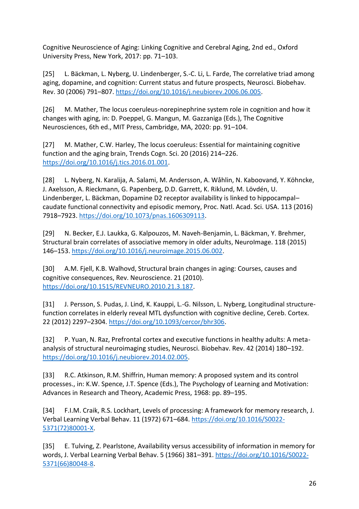Cognitive Neuroscience of Aging: Linking Cognitive and Cerebral Aging, 2nd ed., Oxford University Press, New York, 2017: pp. 71–103.

[25] L. Bäckman, L. Nyberg, U. Lindenberger, S.-C. Li, L. Farde, The correlative triad among aging, dopamine, and cognition: Current status and future prospects, Neurosci. Biobehav. Rev. 30 (2006) 791–807. [https://doi.org/10.1016/j.neubiorev.2006.06.005.](https://doi.org/10.1016/j.neubiorev.2006.06.005)

[26] M. Mather, The locus coeruleus-norepinephrine system role in cognition and how it changes with aging, in: D. Poeppel, G. Mangun, M. Gazzaniga (Eds.), The Cognitive Neurosciences, 6th ed., MIT Press, Cambridge, MA, 2020: pp. 91–104.

[27] M. Mather, C.W. Harley, The locus coeruleus: Essential for maintaining cognitive function and the aging brain, Trends Cogn. Sci. 20 (2016) 214–226. [https://doi.org/10.1016/j.tics.2016.01.001.](https://doi.org/10.1016/j.tics.2016.01.001)

[28] L. Nyberg, N. Karalija, A. Salami, M. Andersson, A. Wåhlin, N. Kaboovand, Y. Köhncke, J. Axelsson, A. Rieckmann, G. Papenberg, D.D. Garrett, K. Riklund, M. Lövdén, U. Lindenberger, L. Bäckman, Dopamine D2 receptor availability is linked to hippocampal– caudate functional connectivity and episodic memory, Proc. Natl. Acad. Sci. USA. 113 (2016) 7918–7923. [https://doi.org/10.1073/pnas.1606309113.](https://doi.org/10.1073/pnas.1606309113)

[29] N. Becker, E.J. Laukka, G. Kalpouzos, M. Naveh-Benjamin, L. Bäckman, Y. Brehmer, Structural brain correlates of associative memory in older adults, NeuroImage. 118 (2015) 146–153. [https://doi.org/10.1016/j.neuroimage.2015.06.002.](https://doi.org/10.1016/j.neuroimage.2015.06.002)

[30] A.M. Fjell, K.B. Walhovd, Structural brain changes in aging: Courses, causes and cognitive consequences, Rev. Neuroscience. 21 (2010). [https://doi.org/10.1515/REVNEURO.2010.21.3.187.](https://doi.org/10.1515/REVNEURO.2010.21.3.187)

[31] J. Persson, S. Pudas, J. Lind, K. Kauppi, L.-G. Nilsson, L. Nyberg, Longitudinal structurefunction correlates in elderly reveal MTL dysfunction with cognitive decline, Cereb. Cortex. 22 (2012) 2297–2304. [https://doi.org/10.1093/cercor/bhr306.](https://doi.org/10.1093/cercor/bhr306)

[32] P. Yuan, N. Raz, Prefrontal cortex and executive functions in healthy adults: A metaanalysis of structural neuroimaging studies, Neurosci. Biobehav. Rev. 42 (2014) 180–192. [https://doi.org/10.1016/j.neubiorev.2014.02.005.](https://doi.org/10.1016/j.neubiorev.2014.02.005)

[33] R.C. Atkinson, R.M. Shiffrin, Human memory: A proposed system and its control processes., in: K.W. Spence, J.T. Spence (Eds.), The Psychology of Learning and Motivation: Advances in Research and Theory, Academic Press, 1968: pp. 89–195.

[34] F.I.M. Craik, R.S. Lockhart, Levels of processing: A framework for memory research, J. Verbal Learning Verbal Behav. 11 (1972) 671–684. [https://doi.org/10.1016/S0022-](https://doi.org/10.1016/S0022-5371(72)80001-X) [5371\(72\)80001-X.](https://doi.org/10.1016/S0022-5371(72)80001-X)

[35] E. Tulving, Z. Pearlstone, Availability versus accessibility of information in memory for words, J. Verbal Learning Verbal Behav. 5 (1966) 381–391. [https://doi.org/10.1016/S0022-](https://doi.org/10.1016/S0022-5371(66)80048-8) [5371\(66\)80048-8.](https://doi.org/10.1016/S0022-5371(66)80048-8)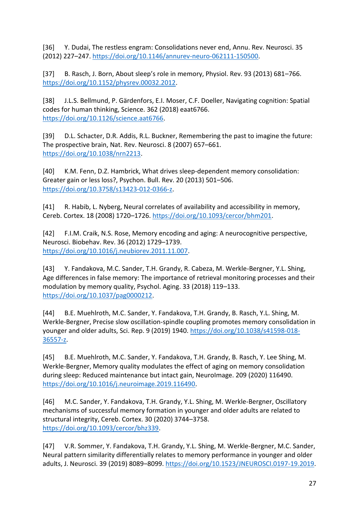[36] Y. Dudai, The restless engram: Consolidations never end, Annu. Rev. Neurosci. 35 (2012) 227–247. [https://doi.org/10.1146/annurev-neuro-062111-150500.](https://doi.org/10.1146/annurev-neuro-062111-150500)

[37] B. Rasch, J. Born, About sleep's role in memory, Physiol. Rev. 93 (2013) 681–766. [https://doi.org/10.1152/physrev.00032.2012.](https://doi.org/10.1152/physrev.00032.2012)

[38] J.L.S. Bellmund, P. Gärdenfors, E.I. Moser, C.F. Doeller, Navigating cognition: Spatial codes for human thinking, Science. 362 (2018) eaat6766. [https://doi.org/10.1126/science.aat6766.](https://doi.org/10.1126/science.aat6766)

[39] D.L. Schacter, D.R. Addis, R.L. Buckner, Remembering the past to imagine the future: The prospective brain, Nat. Rev. Neurosci. 8 (2007) 657–661. [https://doi.org/10.1038/nrn2213.](https://doi.org/10.1038/nrn2213)

[40] K.M. Fenn, D.Z. Hambrick, What drives sleep-dependent memory consolidation: Greater gain or less loss?, Psychon. Bull. Rev. 20 (2013) 501–506. [https://doi.org/10.3758/s13423-012-0366-z.](https://doi.org/10.3758/s13423-012-0366-z)

[41] R. Habib, L. Nyberg, Neural correlates of availability and accessibility in memory, Cereb. Cortex. 18 (2008) 1720–1726. [https://doi.org/10.1093/cercor/bhm201.](https://doi.org/10.1093/cercor/bhm201)

[42] F.I.M. Craik, N.S. Rose, Memory encoding and aging: A neurocognitive perspective, Neurosci. Biobehav. Rev. 36 (2012) 1729–1739. [https://doi.org/10.1016/j.neubiorev.2011.11.007.](https://doi.org/10.1016/j.neubiorev.2011.11.007)

[43] Y. Fandakova, M.C. Sander, T.H. Grandy, R. Cabeza, M. Werkle-Bergner, Y.L. Shing, Age differences in false memory: The importance of retrieval monitoring processes and their modulation by memory quality, Psychol. Aging. 33 (2018) 119–133. [https://doi.org/10.1037/pag0000212.](https://doi.org/10.1037/pag0000212)

[44] B.E. Muehlroth, M.C. Sander, Y. Fandakova, T.H. Grandy, B. Rasch, Y.L. Shing, M. Werkle-Bergner, Precise slow oscillation-spindle coupling promotes memory consolidation in younger and older adults, Sci. Rep. 9 (2019) 1940. [https://doi.org/10.1038/s41598-018-](https://doi.org/10.1038/s41598-018-36557-z) [36557-z.](https://doi.org/10.1038/s41598-018-36557-z)

[45] B.E. Muehlroth, M.C. Sander, Y. Fandakova, T.H. Grandy, B. Rasch, Y. Lee Shing, M. Werkle-Bergner, Memory quality modulates the effect of aging on memory consolidation during sleep: Reduced maintenance but intact gain, NeuroImage. 209 (2020) 116490. [https://doi.org/10.1016/j.neuroimage.2019.116490.](https://doi.org/10.1016/j.neuroimage.2019.116490)

[46] M.C. Sander, Y. Fandakova, T.H. Grandy, Y.L. Shing, M. Werkle-Bergner, Oscillatory mechanisms of successful memory formation in younger and older adults are related to structural integrity, Cereb. Cortex. 30 (2020) 3744–3758. [https://doi.org/10.1093/cercor/bhz339.](https://doi.org/10.1093/cercor/bhz339)

[47] V.R. Sommer, Y. Fandakova, T.H. Grandy, Y.L. Shing, M. Werkle-Bergner, M.C. Sander, Neural pattern similarity differentially relates to memory performance in younger and older adults, J. Neurosci. 39 (2019) 8089–8099. [https://doi.org/10.1523/JNEUROSCI.0197-19.2019.](https://doi.org/10.1523/JNEUROSCI.0197-19.2019)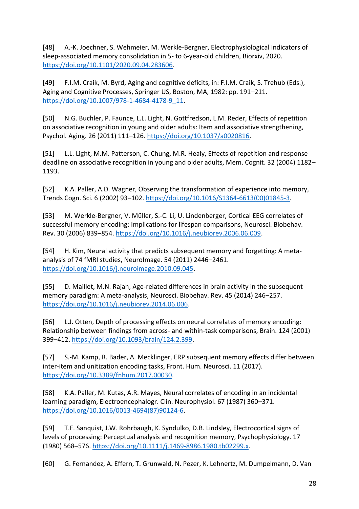[48] A.-K. Joechner, S. Wehmeier, M. Werkle-Bergner, Electrophysiological indicators of sleep-associated memory consolidation in 5- to 6-year-old children, Biorxiv, 2020. [https://doi.org/10.1101/2020.09.04.283606.](https://doi.org/10.1101/2020.09.04.283606)

[49] F.I.M. Craik, M. Byrd, Aging and cognitive deficits, in: F.I.M. Craik, S. Trehub (Eds.), Aging and Cognitive Processes, Springer US, Boston, MA, 1982: pp. 191–211. [https://doi.org/10.1007/978-1-4684-4178-9\\_11.](https://doi.org/10.1007/978-1-4684-4178-9_11)

[50] N.G. Buchler, P. Faunce, L.L. Light, N. Gottfredson, L.M. Reder, Effects of repetition on associative recognition in young and older adults: Item and associative strengthening, Psychol. Aging. 26 (2011) 111–126. [https://doi.org/10.1037/a0020816.](https://doi.org/10.1037/a0020816)

[51] L.L. Light, M.M. Patterson, C. Chung, M.R. Healy, Effects of repetition and response deadline on associative recognition in young and older adults, Mem. Cognit. 32 (2004) 1182– 1193.

[52] K.A. Paller, A.D. Wagner, Observing the transformation of experience into memory, Trends Cogn. Sci. 6 (2002) 93–102. [https://doi.org/10.1016/S1364-6613\(00\)01845-3.](https://doi.org/10.1016/S1364-6613(00)01845-3)

[53] M. Werkle-Bergner, V. Müller, S.-C. Li, U. Lindenberger, Cortical EEG correlates of successful memory encoding: Implications for lifespan comparisons, Neurosci. Biobehav. Rev. 30 (2006) 839–854. [https://doi.org/10.1016/j.neubiorev.2006.06.009.](https://doi.org/10.1016/j.neubiorev.2006.06.009)

[54] H. Kim, Neural activity that predicts subsequent memory and forgetting: A metaanalysis of 74 fMRI studies, NeuroImage. 54 (2011) 2446–2461. [https://doi.org/10.1016/j.neuroimage.2010.09.045.](https://doi.org/10.1016/j.neuroimage.2010.09.045)

[55] D. Maillet, M.N. Rajah, Age-related differences in brain activity in the subsequent memory paradigm: A meta-analysis, Neurosci. Biobehav. Rev. 45 (2014) 246–257. [https://doi.org/10.1016/j.neubiorev.2014.06.006.](https://doi.org/10.1016/j.neubiorev.2014.06.006)

[56] L.J. Otten, Depth of processing effects on neural correlates of memory encoding: Relationship between findings from across- and within-task comparisons, Brain. 124 (2001) 399–412. [https://doi.org/10.1093/brain/124.2.399.](https://doi.org/10.1093/brain/124.2.399)

[57] S.-M. Kamp, R. Bader, A. Mecklinger, ERP subsequent memory effects differ between inter-item and unitization encoding tasks, Front. Hum. Neurosci. 11 (2017). [https://doi.org/10.3389/fnhum.2017.00030.](https://doi.org/10.3389/fnhum.2017.00030)

[58] K.A. Paller, M. Kutas, A.R. Mayes, Neural correlates of encoding in an incidental learning paradigm, Electroencephalogr. Clin. Neurophysiol. 67 (1987) 360–371. [https://doi.org/10.1016/0013-4694\(87\)90124-6.](https://doi.org/10.1016/0013-4694(87)90124-6)

[59] T.F. Sanquist, J.W. Rohrbaugh, K. Syndulko, D.B. Lindsley, Electrocortical signs of levels of processing: Perceptual analysis and recognition memory, Psychophysiology. 17 (1980) 568–576. [https://doi.org/10.1111/j.1469-8986.1980.tb02299.x.](https://doi.org/10.1111/j.1469-8986.1980.tb02299.x)

[60] G. Fernandez, A. Effern, T. Grunwald, N. Pezer, K. Lehnertz, M. Dumpelmann, D. Van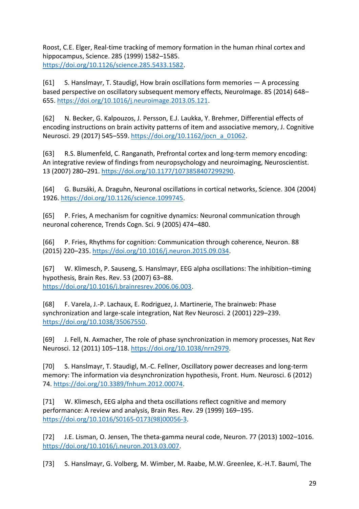Roost, C.E. Elger, Real-time tracking of memory formation in the human rhinal cortex and hippocampus, Science. 285 (1999) 1582–1585. [https://doi.org/10.1126/science.285.5433.1582.](https://doi.org/10.1126/science.285.5433.1582)

[61] S. Hanslmayr, T. Staudigl, How brain oscillations form memories — A processing based perspective on oscillatory subsequent memory effects, NeuroImage. 85 (2014) 648-655. [https://doi.org/10.1016/j.neuroimage.2013.05.121.](https://doi.org/10.1016/j.neuroimage.2013.05.121)

[62] N. Becker, G. Kalpouzos, J. Persson, E.J. Laukka, Y. Brehmer, Differential effects of encoding instructions on brain activity patterns of item and associative memory, J. Cognitive Neurosci. 29 (2017) 545–559. [https://doi.org/10.1162/jocn\\_a\\_01062.](https://doi.org/10.1162/jocn_a_01062)

[63] R.S. Blumenfeld, C. Ranganath, Prefrontal cortex and long-term memory encoding: An integrative review of findings from neuropsychology and neuroimaging, Neuroscientist. 13 (2007) 280–291. [https://doi.org/10.1177/1073858407299290.](https://doi.org/10.1177/1073858407299290)

[64] G. Buzsáki, A. Draguhn, Neuronal oscillations in cortical networks, Science. 304 (2004) 1926. [https://doi.org/10.1126/science.1099745.](https://doi.org/10.1126/science.1099745)

[65] P. Fries, A mechanism for cognitive dynamics: Neuronal communication through neuronal coherence, Trends Cogn. Sci. 9 (2005) 474–480.

[66] P. Fries, Rhythms for cognition: Communication through coherence, Neuron. 88 (2015) 220–235. [https://doi.org/10.1016/j.neuron.2015.09.034.](https://doi.org/10.1016/j.neuron.2015.09.034)

[67] W. Klimesch, P. Sauseng, S. Hanslmayr, EEG alpha oscillations: The inhibition–timing hypothesis, Brain Res. Rev. 53 (2007) 63–88. [https://doi.org/10.1016/j.brainresrev.2006.06.003.](https://doi.org/10.1016/j.brainresrev.2006.06.003)

[68] F. Varela, J.-P. Lachaux, E. Rodriguez, J. Martinerie, The brainweb: Phase synchronization and large-scale integration, Nat Rev Neurosci. 2 (2001) 229–239. [https://doi.org/10.1038/35067550.](https://doi.org/10.1038/35067550)

[69] J. Fell, N. Axmacher, The role of phase synchronization in memory processes, Nat Rev Neurosci. 12 (2011) 105–118. [https://doi.org/10.1038/nrn2979.](https://doi.org/10.1038/nrn2979)

[70] S. Hanslmayr, T. Staudigl, M.-C. Fellner, Oscillatory power decreases and long-term memory: The information via desynchronization hypothesis, Front. Hum. Neurosci. 6 (2012) 74. [https://doi.org/10.3389/fnhum.2012.00074.](https://doi.org/10.3389/fnhum.2012.00074)

[71] W. Klimesch, EEG alpha and theta oscillations reflect cognitive and memory performance: A review and analysis, Brain Res. Rev. 29 (1999) 169–195. [https://doi.org/10.1016/S0165-0173\(98\)00056-3.](https://doi.org/10.1016/S0165-0173(98)00056-3)

[72] J.E. Lisman, O. Jensen, The theta-gamma neural code, Neuron. 77 (2013) 1002–1016. [https://doi.org/10.1016/j.neuron.2013.03.007.](https://doi.org/10.1016/j.neuron.2013.03.007)

[73] S. Hanslmayr, G. Volberg, M. Wimber, M. Raabe, M.W. Greenlee, K.-H.T. Bauml, The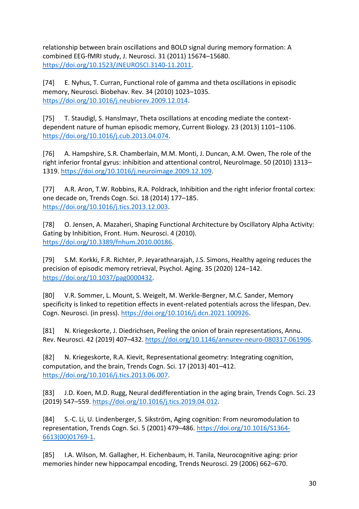relationship between brain oscillations and BOLD signal during memory formation: A combined EEG-fMRI study, J. Neurosci. 31 (2011) 15674–15680. [https://doi.org/10.1523/JNEUROSCI.3140-11.2011.](https://doi.org/10.1523/JNEUROSCI.3140-11.2011)

[74] E. Nyhus, T. Curran, Functional role of gamma and theta oscillations in episodic memory, Neurosci. Biobehav. Rev. 34 (2010) 1023–1035. [https://doi.org/10.1016/j.neubiorev.2009.12.014.](https://doi.org/10.1016/j.neubiorev.2009.12.014)

[75] T. Staudigl, S. Hanslmayr, Theta oscillations at encoding mediate the contextdependent nature of human episodic memory, Current Biology. 23 (2013) 1101–1106. [https://doi.org/10.1016/j.cub.2013.04.074.](https://doi.org/10.1016/j.cub.2013.04.074)

[76] A. Hampshire, S.R. Chamberlain, M.M. Monti, J. Duncan, A.M. Owen, The role of the right inferior frontal gyrus: inhibition and attentional control, NeuroImage. 50 (2010) 1313– 1319. [https://doi.org/10.1016/j.neuroimage.2009.12.109.](https://doi.org/10.1016/j.neuroimage.2009.12.109)

[77] A.R. Aron, T.W. Robbins, R.A. Poldrack, Inhibition and the right inferior frontal cortex: one decade on, Trends Cogn. Sci. 18 (2014) 177–185. [https://doi.org/10.1016/j.tics.2013.12.003.](https://doi.org/10.1016/j.tics.2013.12.003)

[78] O. Jensen, A. Mazaheri, Shaping Functional Architecture by Oscillatory Alpha Activity: Gating by Inhibition, Front. Hum. Neurosci. 4 (2010). [https://doi.org/10.3389/fnhum.2010.00186.](https://doi.org/10.3389/fnhum.2010.00186)

[79] S.M. Korkki, F.R. Richter, P. Jeyarathnarajah, J.S. Simons, Healthy ageing reduces the precision of episodic memory retrieval, Psychol. Aging. 35 (2020) 124–142. [https://doi.org/10.1037/pag0000432.](https://doi.org/10.1037/pag0000432)

[80] V.R. Sommer, L. Mount, S. Weigelt, M. Werkle-Bergner, M.C. Sander, Memory specificity is linked to repetition effects in event-related potentials across the lifespan, Dev. Cogn. Neurosci. (in press). [https://doi.org/10.1016/j.dcn.2021.100926.](https://doi.org/10.1016/j.dcn.2021.100926)

[81] N. Kriegeskorte, J. Diedrichsen, Peeling the onion of brain representations, Annu. Rev. Neurosci. 42 (2019) 407–432[. https://doi.org/10.1146/annurev-neuro-080317-061906.](https://doi.org/10.1146/annurev-neuro-080317-061906)

[82] N. Kriegeskorte, R.A. Kievit, Representational geometry: Integrating cognition, computation, and the brain, Trends Cogn. Sci. 17 (2013) 401–412. [https://doi.org/10.1016/j.tics.2013.06.007.](https://doi.org/10.1016/j.tics.2013.06.007)

[83] J.D. Koen, M.D. Rugg, Neural dedifferentiation in the aging brain, Trends Cogn. Sci. 23 (2019) 547–559. [https://doi.org/10.1016/j.tics.2019.04.012.](https://doi.org/10.1016/j.tics.2019.04.012)

[84] S.-C. Li, U. Lindenberger, S. Sikström, Aging cognition: From neuromodulation to representation, Trends Cogn. Sci. 5 (2001) 479–486. [https://doi.org/10.1016/S1364-](https://doi.org/10.1016/S1364-6613(00)01769-1) [6613\(00\)01769-1.](https://doi.org/10.1016/S1364-6613(00)01769-1)

[85] I.A. Wilson, M. Gallagher, H. Eichenbaum, H. Tanila, Neurocognitive aging: prior memories hinder new hippocampal encoding, Trends Neurosci. 29 (2006) 662–670.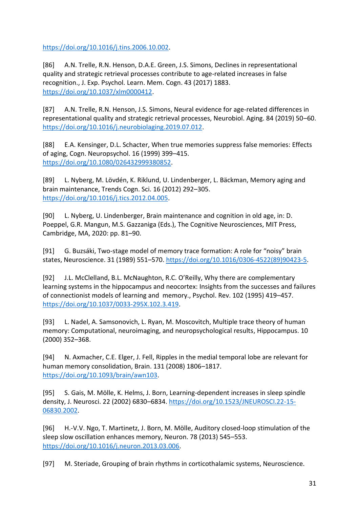[https://doi.org/10.1016/j.tins.2006.10.002.](https://doi.org/10.1016/j.tins.2006.10.002)

[86] A.N. Trelle, R.N. Henson, D.A.E. Green, J.S. Simons, Declines in representational quality and strategic retrieval processes contribute to age-related increases in false recognition., J. Exp. Psychol. Learn. Mem. Cogn. 43 (2017) 1883. [https://doi.org/10.1037/xlm0000412.](https://doi.org/10.1037/xlm0000412)

[87] A.N. Trelle, R.N. Henson, J.S. Simons, Neural evidence for age-related differences in representational quality and strategic retrieval processes, Neurobiol. Aging. 84 (2019) 50–60. [https://doi.org/10.1016/j.neurobiolaging.2019.07.012.](https://doi.org/10.1016/j.neurobiolaging.2019.07.012)

[88] E.A. Kensinger, D.L. Schacter, When true memories suppress false memories: Effects of aging, Cogn. Neuropsychol. 16 (1999) 399–415. [https://doi.org/10.1080/026432999380852.](https://doi.org/10.1080/026432999380852)

[89] L. Nyberg, M. Lövdén, K. Riklund, U. Lindenberger, L. Bäckman, Memory aging and brain maintenance, Trends Cogn. Sci. 16 (2012) 292–305. [https://doi.org/10.1016/j.tics.2012.04.005.](https://doi.org/10.1016/j.tics.2012.04.005)

[90] L. Nyberg, U. Lindenberger, Brain maintenance and cognition in old age, in: D. Poeppel, G.R. Mangun, M.S. Gazzaniga (Eds.), The Cognitive Neurosciences, MIT Press, Cambridge, MA, 2020: pp. 81–90.

[91] G. Buzsáki, Two-stage model of memory trace formation: A role for "noisy" brain states, Neuroscience. 31 (1989) 551–570. [https://doi.org/10.1016/0306-4522\(89\)90423-5.](https://doi.org/10.1016/0306-4522(89)90423-5)

[92] J.L. McClelland, B.L. McNaughton, R.C. O'Reilly, Why there are complementary learning systems in the hippocampus and neocortex: Insights from the successes and failures of connectionist models of learning and memory., Psychol. Rev. 102 (1995) 419–457. [https://doi.org/10.1037/0033-295X.102.3.419.](https://doi.org/10.1037/0033-295X.102.3.419)

[93] L. Nadel, A. Samsonovich, L. Ryan, M. Moscovitch, Multiple trace theory of human memory: Computational, neuroimaging, and neuropsychological results, Hippocampus. 10 (2000) 352–368.

[94] N. Axmacher, C.E. Elger, J. Fell, Ripples in the medial temporal lobe are relevant for human memory consolidation, Brain. 131 (2008) 1806–1817. [https://doi.org/10.1093/brain/awn103.](https://doi.org/10.1093/brain/awn103)

[95] S. Gais, M. Mölle, K. Helms, J. Born, Learning-dependent increases in sleep spindle density, J. Neurosci. 22 (2002) 6830–6834. [https://doi.org/10.1523/JNEUROSCI.22-15-](https://doi.org/10.1523/JNEUROSCI.22-15-06830.2002) [06830.2002.](https://doi.org/10.1523/JNEUROSCI.22-15-06830.2002)

[96] H.-V.V. Ngo, T. Martinetz, J. Born, M. Mölle, Auditory closed-loop stimulation of the sleep slow oscillation enhances memory, Neuron. 78 (2013) 545–553. [https://doi.org/10.1016/j.neuron.2013.03.006.](https://doi.org/10.1016/j.neuron.2013.03.006)

[97] M. Steriade, Grouping of brain rhythms in corticothalamic systems, Neuroscience.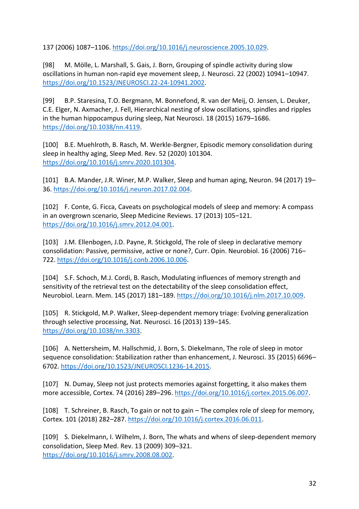137 (2006) 1087–1106. [https://doi.org/10.1016/j.neuroscience.2005.10.029.](https://doi.org/10.1016/j.neuroscience.2005.10.029)

[98] M. Mölle, L. Marshall, S. Gais, J. Born, Grouping of spindle activity during slow oscillations in human non-rapid eye movement sleep, J. Neurosci. 22 (2002) 10941–10947. [https://doi.org/10.1523/JNEUROSCI.22-24-10941.2002.](https://doi.org/10.1523/JNEUROSCI.22-24-10941.2002)

[99] B.P. Staresina, T.O. Bergmann, M. Bonnefond, R. van der Meij, O. Jensen, L. Deuker, C.E. Elger, N. Axmacher, J. Fell, Hierarchical nesting of slow oscillations, spindles and ripples in the human hippocampus during sleep, Nat Neurosci. 18 (2015) 1679–1686. [https://doi.org/10.1038/nn.4119.](https://doi.org/10.1038/nn.4119)

[100] B.E. Muehlroth, B. Rasch, M. Werkle-Bergner, Episodic memory consolidation during sleep in healthy aging, Sleep Med. Rev. 52 (2020) 101304. [https://doi.org/10.1016/j.smrv.2020.101304.](https://doi.org/10.1016/j.smrv.2020.101304)

[101] B.A. Mander, J.R. Winer, M.P. Walker, Sleep and human aging, Neuron. 94 (2017) 19– 36. [https://doi.org/10.1016/j.neuron.2017.02.004.](https://doi.org/10.1016/j.neuron.2017.02.004)

[102] F. Conte, G. Ficca, Caveats on psychological models of sleep and memory: A compass in an overgrown scenario, Sleep Medicine Reviews. 17 (2013) 105–121. [https://doi.org/10.1016/j.smrv.2012.04.001.](https://doi.org/10.1016/j.smrv.2012.04.001)

[103] J.M. Ellenbogen, J.D. Payne, R. Stickgold, The role of sleep in declarative memory consolidation: Passive, permissive, active or none?, Curr. Opin. Neurobiol. 16 (2006) 716– 722. [https://doi.org/10.1016/j.conb.2006.10.006.](https://doi.org/10.1016/j.conb.2006.10.006)

[104] S.F. Schoch, M.J. Cordi, B. Rasch, Modulating influences of memory strength and sensitivity of the retrieval test on the detectability of the sleep consolidation effect, Neurobiol. Learn. Mem. 145 (2017) 181–189. [https://doi.org/10.1016/j.nlm.2017.10.009.](https://doi.org/10.1016/j.nlm.2017.10.009)

[105] R. Stickgold, M.P. Walker, Sleep-dependent memory triage: Evolving generalization through selective processing, Nat. Neurosci. 16 (2013) 139–145. [https://doi.org/10.1038/nn.3303.](https://doi.org/10.1038/nn.3303)

[106] A. Nettersheim, M. Hallschmid, J. Born, S. Diekelmann, The role of sleep in motor sequence consolidation: Stabilization rather than enhancement, J. Neurosci. 35 (2015) 6696– 6702. [https://doi.org/10.1523/JNEUROSCI.1236-14.2015.](https://doi.org/10.1523/JNEUROSCI.1236-14.2015)

[107] N. Dumay, Sleep not just protects memories against forgetting, it also makes them more accessible, Cortex. 74 (2016) 289–296. [https://doi.org/10.1016/j.cortex.2015.06.007.](https://doi.org/10.1016/j.cortex.2015.06.007)

[108] T. Schreiner, B. Rasch, To gain or not to gain – The complex role of sleep for memory, Cortex. 101 (2018) 282–287. [https://doi.org/10.1016/j.cortex.2016.06.011.](https://doi.org/10.1016/j.cortex.2016.06.011)

[109] S. Diekelmann, I. Wilhelm, J. Born, The whats and whens of sleep-dependent memory consolidation, Sleep Med. Rev. 13 (2009) 309–321. [https://doi.org/10.1016/j.smrv.2008.08.002.](https://doi.org/10.1016/j.smrv.2008.08.002)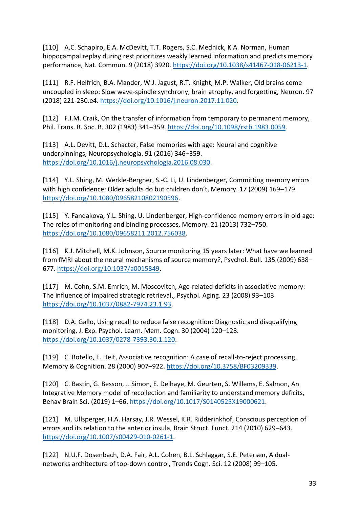[110] A.C. Schapiro, E.A. McDevitt, T.T. Rogers, S.C. Mednick, K.A. Norman, Human hippocampal replay during rest prioritizes weakly learned information and predicts memory performance, Nat. Commun. 9 (2018) 3920. [https://doi.org/10.1038/s41467-018-06213-1.](https://doi.org/10.1038/s41467-018-06213-1)

[111] R.F. Helfrich, B.A. Mander, W.J. Jagust, R.T. Knight, M.P. Walker, Old brains come uncoupled in sleep: Slow wave-spindle synchrony, brain atrophy, and forgetting, Neuron. 97 (2018) 221-230.e4. [https://doi.org/10.1016/j.neuron.2017.11.020.](https://doi.org/10.1016/j.neuron.2017.11.020)

[112] F.I.M. Craik, On the transfer of information from temporary to permanent memory, Phil. Trans. R. Soc. B. 302 (1983) 341–359. [https://doi.org/10.1098/rstb.1983.0059.](https://doi.org/10.1098/rstb.1983.0059)

[113] A.L. Devitt, D.L. Schacter, False memories with age: Neural and cognitive underpinnings, Neuropsychologia. 91 (2016) 346–359. [https://doi.org/10.1016/j.neuropsychologia.2016.08.030.](https://doi.org/10.1016/j.neuropsychologia.2016.08.030)

[114] Y.L. Shing, M. Werkle-Bergner, S.-C. Li, U. Lindenberger, Committing memory errors with high confidence: Older adults do but children don't, Memory. 17 (2009) 169–179. [https://doi.org/10.1080/09658210802190596.](https://doi.org/10.1080/09658210802190596)

[115] Y. Fandakova, Y.L. Shing, U. Lindenberger, High-confidence memory errors in old age: The roles of monitoring and binding processes, Memory. 21 (2013) 732–750. [https://doi.org/10.1080/09658211.2012.756038.](https://doi.org/10.1080/09658211.2012.756038)

[116] K.J. Mitchell, M.K. Johnson, Source monitoring 15 years later: What have we learned from fMRI about the neural mechanisms of source memory?, Psychol. Bull. 135 (2009) 638– 677. [https://doi.org/10.1037/a0015849.](https://doi.org/10.1037/a0015849)

[117] M. Cohn, S.M. Emrich, M. Moscovitch, Age-related deficits in associative memory: The influence of impaired strategic retrieval., Psychol. Aging. 23 (2008) 93–103. [https://doi.org/10.1037/0882-7974.23.1.93.](https://doi.org/10.1037/0882-7974.23.1.93)

[118] D.A. Gallo, Using recall to reduce false recognition: Diagnostic and disqualifying monitoring, J. Exp. Psychol. Learn. Mem. Cogn. 30 (2004) 120–128. [https://doi.org/10.1037/0278-7393.30.1.120.](https://doi.org/10.1037/0278-7393.30.1.120)

[119] C. Rotello, E. Heit, Associative recognition: A case of recall-to-reject processing, Memory & Cognition. 28 (2000) 907–922. [https://doi.org/10.3758/BF03209339.](https://doi.org/10.3758/BF03209339)

[120] C. Bastin, G. Besson, J. Simon, E. Delhaye, M. Geurten, S. Willems, E. Salmon, An Integrative Memory model of recollection and familiarity to understand memory deficits, Behav Brain Sci. (2019) 1–66. [https://doi.org/10.1017/S0140525X19000621.](https://doi.org/10.1017/S0140525X19000621)

[121] M. Ullsperger, H.A. Harsay, J.R. Wessel, K.R. Ridderinkhof, Conscious perception of errors and its relation to the anterior insula, Brain Struct. Funct. 214 (2010) 629–643. [https://doi.org/10.1007/s00429-010-0261-1.](https://doi.org/10.1007/s00429-010-0261-1)

[122] N.U.F. Dosenbach, D.A. Fair, A.L. Cohen, B.L. Schlaggar, S.E. Petersen, A dualnetworks architecture of top-down control, Trends Cogn. Sci. 12 (2008) 99–105.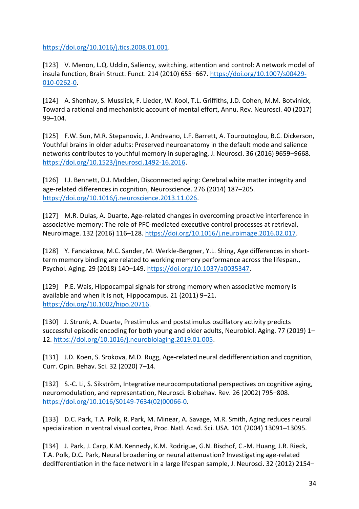[https://doi.org/10.1016/j.tics.2008.01.001.](https://doi.org/10.1016/j.tics.2008.01.001)

[123] V. Menon, L.Q. Uddin, Saliency, switching, attention and control: A network model of insula function, Brain Struct. Funct. 214 (2010) 655–667. [https://doi.org/10.1007/s00429-](https://doi.org/10.1007/s00429-010-0262-0) [010-0262-0.](https://doi.org/10.1007/s00429-010-0262-0)

[124] A. Shenhav, S. Musslick, F. Lieder, W. Kool, T.L. Griffiths, J.D. Cohen, M.M. Botvinick, Toward a rational and mechanistic account of mental effort, Annu. Rev. Neurosci. 40 (2017) 99–104.

[125] F.W. Sun, M.R. Stepanovic, J. Andreano, L.F. Barrett, A. Touroutoglou, B.C. Dickerson, Youthful brains in older adults: Preserved neuroanatomy in the default mode and salience networks contributes to youthful memory in superaging, J. Neurosci. 36 (2016) 9659–9668. [https://doi.org/10.1523/jneurosci.1492-16.2016.](https://doi.org/10.1523/jneurosci.1492-16.2016)

[126] I.J. Bennett, D.J. Madden, Disconnected aging: Cerebral white matter integrity and age-related differences in cognition, Neuroscience. 276 (2014) 187–205. [https://doi.org/10.1016/j.neuroscience.2013.11.026.](https://doi.org/10.1016/j.neuroscience.2013.11.026)

[127] M.R. Dulas, A. Duarte, Age-related changes in overcoming proactive interference in associative memory: The role of PFC-mediated executive control processes at retrieval, NeuroImage. 132 (2016) 116–128[. https://doi.org/10.1016/j.neuroimage.2016.02.017.](https://doi.org/10.1016/j.neuroimage.2016.02.017)

[128] Y. Fandakova, M.C. Sander, M. Werkle-Bergner, Y.L. Shing, Age differences in shortterm memory binding are related to working memory performance across the lifespan., Psychol. Aging. 29 (2018) 140–149. [https://doi.org/10.1037/a0035347.](https://doi.org/10.1037/a0035347)

[129] P.E. Wais, Hippocampal signals for strong memory when associative memory is available and when it is not, Hippocampus. 21 (2011) 9–21. [https://doi.org/10.1002/hipo.20716.](https://doi.org/10.1002/hipo.20716)

[130] J. Strunk, A. Duarte, Prestimulus and poststimulus oscillatory activity predicts successful episodic encoding for both young and older adults, Neurobiol. Aging. 77 (2019) 1– 12. [https://doi.org/10.1016/j.neurobiolaging.2019.01.005.](https://doi.org/10.1016/j.neurobiolaging.2019.01.005)

[131] J.D. Koen, S. Srokova, M.D. Rugg, Age-related neural dedifferentiation and cognition, Curr. Opin. Behav. Sci. 32 (2020) 7–14.

[132] S.-C. Li, S. Sikström, Integrative neurocomputational perspectives on cognitive aging, neuromodulation, and representation, Neurosci. Biobehav. Rev. 26 (2002) 795–808. [https://doi.org/10.1016/S0149-7634\(02\)00066-0.](https://doi.org/10.1016/S0149-7634(02)00066-0)

[133] D.C. Park, T.A. Polk, R. Park, M. Minear, A. Savage, M.R. Smith, Aging reduces neural specialization in ventral visual cortex, Proc. Natl. Acad. Sci. USA. 101 (2004) 13091–13095.

[134] J. Park, J. Carp, K.M. Kennedy, K.M. Rodrigue, G.N. Bischof, C.-M. Huang, J.R. Rieck, T.A. Polk, D.C. Park, Neural broadening or neural attenuation? Investigating age-related dedifferentiation in the face network in a large lifespan sample, J. Neurosci. 32 (2012) 2154–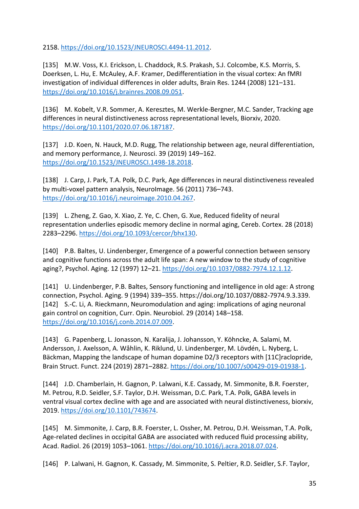2158. [https://doi.org/10.1523/JNEUROSCI.4494-11.2012.](https://doi.org/10.1523/JNEUROSCI.4494-11.2012)

[135] M.W. Voss, K.I. Erickson, L. Chaddock, R.S. Prakash, S.J. Colcombe, K.S. Morris, S. Doerksen, L. Hu, E. McAuley, A.F. Kramer, Dedifferentiation in the visual cortex: An fMRI investigation of individual differences in older adults, Brain Res. 1244 (2008) 121–131. [https://doi.org/10.1016/j.brainres.2008.09.051.](https://doi.org/10.1016/j.brainres.2008.09.051)

[136] M. Kobelt, V.R. Sommer, A. Keresztes, M. Werkle-Bergner, M.C. Sander, Tracking age differences in neural distinctiveness across representational levels, Biorxiv, 2020. [https://doi.org/10.1101/2020.07.06.187187.](https://doi.org/10.1101/2020.07.06.187187)

[137] J.D. Koen, N. Hauck, M.D. Rugg, The relationship between age, neural differentiation, and memory performance, J. Neurosci. 39 (2019) 149–162. [https://doi.org/10.1523/JNEUROSCI.1498-18.2018.](https://doi.org/10.1523/JNEUROSCI.1498-18.2018)

[138] J. Carp, J. Park, T.A. Polk, D.C. Park, Age differences in neural distinctiveness revealed by multi-voxel pattern analysis, NeuroImage. 56 (2011) 736–743. [https://doi.org/10.1016/j.neuroimage.2010.04.267.](https://doi.org/10.1016/j.neuroimage.2010.04.267)

[139] L. Zheng, Z. Gao, X. Xiao, Z. Ye, C. Chen, G. Xue, Reduced fidelity of neural representation underlies episodic memory decline in normal aging, Cereb. Cortex. 28 (2018) 2283–2296. [https://doi.org/10.1093/cercor/bhx130.](https://doi.org/10.1093/cercor/bhx130)

[140] P.B. Baltes, U. Lindenberger, Emergence of a powerful connection between sensory and cognitive functions across the adult life span: A new window to the study of cognitive aging?, Psychol. Aging. 12 (1997) 12–21. [https://doi.org/10.1037/0882-7974.12.1.12.](https://doi.org/10.1037/0882-7974.12.1.12)

[141] U. Lindenberger, P.B. Baltes, Sensory functioning and intelligence in old age: A strong connection, Psychol. Aging. 9 (1994) 339–355. https://doi.org/10.1037/0882-7974.9.3.339. [142] S.-C. Li, A. Rieckmann, Neuromodulation and aging: implications of aging neuronal gain control on cognition, Curr. Opin. Neurobiol. 29 (2014) 148–158. [https://doi.org/10.1016/j.conb.2014.07.009.](https://doi.org/10.1016/j.conb.2014.07.009)

[143] G. Papenberg, L. Jonasson, N. Karalija, J. Johansson, Y. Köhncke, A. Salami, M. Andersson, J. Axelsson, A. Wåhlin, K. Riklund, U. Lindenberger, M. Lövdén, L. Nyberg, L. Bäckman, Mapping the landscape of human dopamine D2/3 receptors with [11C]raclopride, Brain Struct. Funct. 224 (2019) 2871–2882. [https://doi.org/10.1007/s00429-019-01938-1.](https://doi.org/10.1007/s00429-019-01938-1)

[144] J.D. Chamberlain, H. Gagnon, P. Lalwani, K.E. Cassady, M. Simmonite, B.R. Foerster, M. Petrou, R.D. Seidler, S.F. Taylor, D.H. Weissman, D.C. Park, T.A. Polk, GABA levels in ventral visual cortex decline with age and are associated with neural distinctiveness, biorxiv, 2019. [https://doi.org/10.1101/743674.](https://doi.org/10.1101/743674)

[145] M. Simmonite, J. Carp, B.R. Foerster, L. Ossher, M. Petrou, D.H. Weissman, T.A. Polk, Age-related declines in occipital GABA are associated with reduced fluid processing ability, Acad. Radiol. 26 (2019) 1053–1061. [https://doi.org/10.1016/j.acra.2018.07.024.](https://doi.org/10.1016/j.acra.2018.07.024)

[146] P. Lalwani, H. Gagnon, K. Cassady, M. Simmonite, S. Peltier, R.D. Seidler, S.F. Taylor,